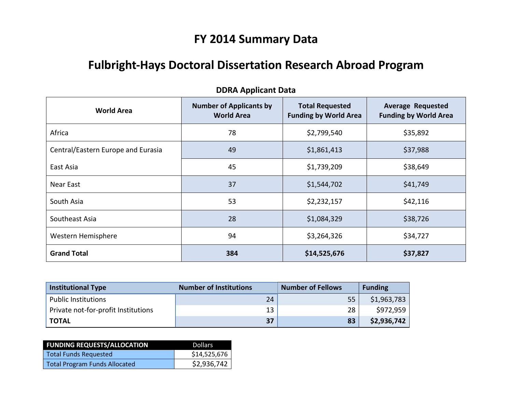# **FY 2014 Summary Data**

# **Fulbright-Hays Doctoral Dissertation Research Abroad Program**

| <b>World Area</b>                  | <b>Number of Applicants by</b><br><b>World Area</b> | <b>Total Requested</b><br><b>Funding by World Area</b> | <b>Average Requested</b><br><b>Funding by World Area</b> |
|------------------------------------|-----------------------------------------------------|--------------------------------------------------------|----------------------------------------------------------|
| Africa                             | 78                                                  | \$2,799,540                                            | \$35,892                                                 |
| Central/Eastern Europe and Eurasia | 49                                                  | \$1,861,413                                            | \$37,988                                                 |
| East Asia                          | 45                                                  | \$1,739,209                                            | \$38,649                                                 |
| Near East                          | 37                                                  | \$1,544,702                                            | \$41,749                                                 |
| South Asia                         | 53                                                  | \$2,232,157                                            | \$42,116                                                 |
| Southeast Asia                     | 28                                                  | \$1,084,329                                            | \$38,726                                                 |
| Western Hemisphere                 | 94                                                  | \$3,264,326                                            | \$34,727                                                 |
| <b>Grand Total</b>                 | 384                                                 | \$14,525,676                                           | \$37,827                                                 |

## **DDRA Applicant Data**

| Institutional Type                  | <b>Number of Institutions</b> | <b>Number of Fellows</b> | <b>Funding</b> |
|-------------------------------------|-------------------------------|--------------------------|----------------|
| <b>Public Institutions</b>          | 24                            | 55                       | \$1,963,783    |
| Private not-for-profit Institutions | 13                            | 28                       | \$972,959      |
| <b>TOTAL</b>                        | 37                            | 83                       | \$2,936,742    |

| <b>FUNDING REQUESTS/ALLOCATION</b>   | <b>Dollars</b> |
|--------------------------------------|----------------|
| Total Funds Requested                | \$14,525,676   |
| <b>Total Program Funds Allocated</b> | \$2,936,742    |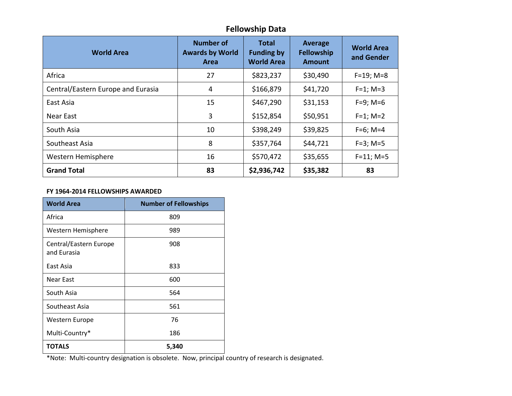# **Fellowship Data**

| <b>World Area</b>                  | <b>Number of</b><br><b>Awards by World</b><br>Area | Total<br><b>Funding by</b><br><b>World Area</b> | <b>Average</b><br><b>Fellowship</b><br><b>Amount</b> | <b>World Area</b><br>and Gender |
|------------------------------------|----------------------------------------------------|-------------------------------------------------|------------------------------------------------------|---------------------------------|
| Africa                             | 27                                                 | \$823,237                                       | \$30,490                                             | $F=19; M=8$                     |
| Central/Eastern Europe and Eurasia | 4                                                  | \$166,879                                       | \$41,720                                             | $F = 1$ ; M=3                   |
| East Asia                          | 15                                                 | \$467,290                                       | \$31,153                                             | $F=9; M=6$                      |
| Near East                          | 3                                                  | \$152,854                                       | \$50,951                                             | $F=1$ ; M=2                     |
| South Asia                         | 10                                                 | \$398,249                                       | \$39,825                                             | $F=6$ ; M=4                     |
| Southeast Asia                     | 8                                                  | \$357,764                                       | \$44,721                                             | $F=3$ ; M=5                     |
| Western Hemisphere                 | 16                                                 | \$570,472                                       | \$35,655                                             | $F=11; M=5$                     |
| <b>Grand Total</b>                 | 83                                                 | \$2,936,742                                     | \$35,382                                             | 83                              |

#### **FY 1964-2014 FELLOWSHIPS AWARDED**

| <b>World Area</b>                     | <b>Number of Fellowships</b> |
|---------------------------------------|------------------------------|
| Africa                                | 809                          |
| Western Hemisphere                    | 989                          |
| Central/Eastern Europe<br>and Eurasia | 908                          |
| East Asia                             | 833                          |
| Near East                             | 600                          |
| South Asia                            | 564                          |
| Southeast Asia                        | 561                          |
| Western Europe                        | 76                           |
| Multi-Country*                        | 186                          |
| TOTALS                                | 5,340                        |

\*Note: Multi-country designation is obsolete. Now, principal country of research is designated.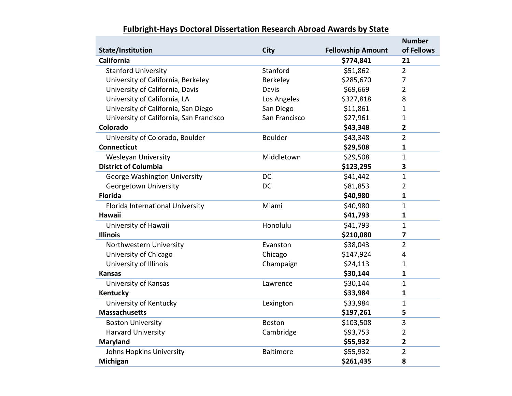|                                         |               |                          | <b>Number</b>           |
|-----------------------------------------|---------------|--------------------------|-------------------------|
| State/Institution                       | <b>City</b>   | <b>Fellowship Amount</b> | of Fellows              |
| California                              |               | \$774,841                | 21                      |
| <b>Stanford University</b>              | Stanford      | \$51,862                 | $\overline{2}$          |
| University of California, Berkeley      | Berkeley      | \$285,670                | $\overline{7}$          |
| University of California, Davis         | Davis         | \$69,669                 | $\overline{2}$          |
| University of California, LA            | Los Angeles   | \$327,818                | 8                       |
| University of California, San Diego     | San Diego     | \$11,861                 | 1                       |
| University of California, San Francisco | San Francisco | \$27,961                 | 1                       |
| Colorado                                |               | \$43,348                 | $\overline{\mathbf{2}}$ |
| University of Colorado, Boulder         | Boulder       | \$43,348                 | $\overline{2}$          |
| <b>Connecticut</b>                      |               | \$29,508                 | $\mathbf{1}$            |
| <b>Wesleyan University</b>              | Middletown    | \$29,508                 | 1                       |
| <b>District of Columbia</b>             |               | \$123,295                | 3                       |
| George Washington University            | <b>DC</b>     | \$41,442                 | $\mathbf{1}$            |
| Georgetown University                   | <b>DC</b>     | \$81,853                 | $\overline{2}$          |
| <b>Florida</b>                          |               | \$40,980                 | $\mathbf{1}$            |
| Florida International University        | Miami         | \$40,980                 | $\mathbf{1}$            |
| <b>Hawaii</b>                           |               | \$41,793                 | $\mathbf{1}$            |
| University of Hawaii                    | Honolulu      | \$41,793                 | $\mathbf{1}$            |
| <b>Illinois</b>                         |               | \$210,080                | 7                       |
| Northwestern University                 | Evanston      | \$38,043                 | $\overline{2}$          |
| University of Chicago                   | Chicago       | \$147,924                | 4                       |
| University of Illinois                  | Champaign     | \$24,113                 | 1                       |
| <b>Kansas</b>                           |               | \$30,144                 | $\mathbf{1}$            |
| University of Kansas                    | Lawrence      | \$30,144                 | $\mathbf{1}$            |
| <b>Kentucky</b>                         |               | \$33,984                 | $\mathbf{1}$            |
| University of Kentucky                  | Lexington     | \$33,984                 | $\mathbf{1}$            |
| <b>Massachusetts</b>                    |               | \$197,261                | 5                       |
| <b>Boston University</b>                | <b>Boston</b> | \$103,508                | 3                       |
| Harvard University                      | Cambridge     | \$93,753                 | $\overline{2}$          |
| <b>Maryland</b>                         |               | \$55,932                 | $\overline{2}$          |
| Johns Hopkins University                | Baltimore     | \$55,932                 | $\overline{2}$          |
| Michigan                                |               | \$261,435                | 8                       |

# **Fulbright-Hays Doctoral Dissertation Research Abroad Awards by State**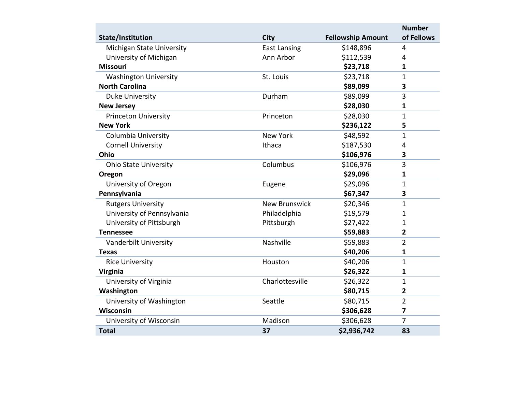|                              |                      |                          | <b>Number</b>  |
|------------------------------|----------------------|--------------------------|----------------|
| <b>State/Institution</b>     | <b>City</b>          | <b>Fellowship Amount</b> | of Fellows     |
| Michigan State University    | <b>East Lansing</b>  | \$148,896                | $\overline{4}$ |
| University of Michigan       | Ann Arbor            | \$112,539                | $\overline{4}$ |
| <b>Missouri</b>              |                      | \$23,718                 | 1              |
| <b>Washington University</b> | St. Louis            | \$23,718                 | $\mathbf{1}$   |
| <b>North Carolina</b>        |                      | \$89,099                 | 3              |
| Duke University              | Durham               | \$89,099                 | 3              |
| <b>New Jersey</b>            |                      | \$28,030                 | 1              |
| <b>Princeton University</b>  | Princeton            | \$28,030                 | $\mathbf{1}$   |
| <b>New York</b>              |                      | \$236,122                | 5              |
| Columbia University          | <b>New York</b>      | \$48,592                 | $\mathbf{1}$   |
| <b>Cornell University</b>    | Ithaca               | \$187,530                | 4              |
| Ohio                         |                      | \$106,976                | 3              |
| <b>Ohio State University</b> | Columbus             | \$106,976                | 3              |
| Oregon                       |                      | \$29,096                 | 1              |
| University of Oregon         | Eugene               | \$29,096                 | $\mathbf{1}$   |
| Pennsylvania                 |                      | \$67,347                 | 3              |
| <b>Rutgers University</b>    | <b>New Brunswick</b> | \$20,346                 | $\mathbf{1}$   |
| University of Pennsylvania   | Philadelphia         | \$19,579                 | 1              |
| University of Pittsburgh     | Pittsburgh           | \$27,422                 | $\mathbf{1}$   |
| <b>Tennessee</b>             |                      | \$59,883                 | 2              |
| Vanderbilt University        | Nashville            | \$59,883                 | $\overline{2}$ |
| <b>Texas</b>                 |                      | \$40,206                 | 1              |
| <b>Rice University</b>       | Houston              | \$40,206                 | $\mathbf{1}$   |
| <b>Virginia</b>              |                      | \$26,322                 | 1              |
| University of Virginia       | Charlottesville      | \$26,322                 | $\mathbf{1}$   |
| Washington                   |                      | \$80,715                 | $\overline{2}$ |
| University of Washington     | Seattle              | \$80,715                 | $\overline{2}$ |
| Wisconsin                    |                      | \$306,628                | $\overline{7}$ |
| University of Wisconsin      | Madison              | \$306,628                | 7              |
| <b>Total</b>                 | 37                   | \$2,936,742              | 83             |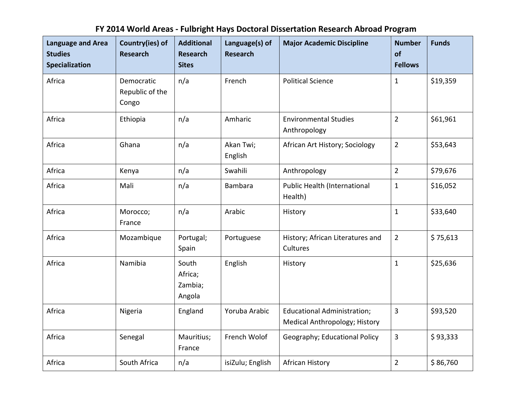# **FY 2014 World Areas - Fulbright Hays Doctoral Dissertation Research Abroad Program**

| <b>Language and Area</b><br><b>Studies</b><br><b>Specialization</b> | Country(ies) of<br><b>Research</b>     | <b>Additional</b><br><b>Research</b><br><b>Sites</b> | Language(s) of<br><b>Research</b> | <b>Major Academic Discipline</b>                                    | <b>Number</b><br>of<br><b>Fellows</b> | <b>Funds</b> |
|---------------------------------------------------------------------|----------------------------------------|------------------------------------------------------|-----------------------------------|---------------------------------------------------------------------|---------------------------------------|--------------|
| Africa                                                              | Democratic<br>Republic of the<br>Congo | n/a                                                  | French                            | <b>Political Science</b>                                            | $\mathbf{1}$                          | \$19,359     |
| Africa                                                              | Ethiopia                               | n/a                                                  | Amharic                           | <b>Environmental Studies</b><br>Anthropology                        | $\overline{2}$                        | \$61,961     |
| Africa                                                              | Ghana                                  | n/a                                                  | Akan Twi;<br>English              | African Art History; Sociology                                      | $\overline{2}$                        | \$53,643     |
| Africa                                                              | Kenya                                  | n/a                                                  | Swahili                           | Anthropology                                                        | $\overline{2}$                        | \$79,676     |
| Africa                                                              | Mali                                   | n/a                                                  | <b>Bambara</b>                    | Public Health (International<br>Health)                             | $\mathbf{1}$                          | \$16,052     |
| Africa                                                              | Morocco;<br>France                     | n/a                                                  | Arabic                            | History                                                             | $\mathbf{1}$                          | \$33,640     |
| Africa                                                              | Mozambique                             | Portugal;<br>Spain                                   | Portuguese                        | History; African Literatures and<br>Cultures                        | $\overline{2}$                        | \$75,613     |
| Africa                                                              | Namibia                                | South<br>Africa;<br>Zambia;<br>Angola                | English                           | History                                                             | $\mathbf{1}$                          | \$25,636     |
| Africa                                                              | Nigeria                                | England                                              | Yoruba Arabic                     | <b>Educational Administration;</b><br>Medical Anthropology; History | 3                                     | \$93,520     |
| Africa                                                              | Senegal                                | Mauritius;<br>France                                 | French Wolof                      | Geography; Educational Policy                                       | 3                                     | \$93,333     |
| Africa                                                              | South Africa                           | n/a                                                  | isiZulu; English                  | African History                                                     | $\overline{2}$                        | \$86,760     |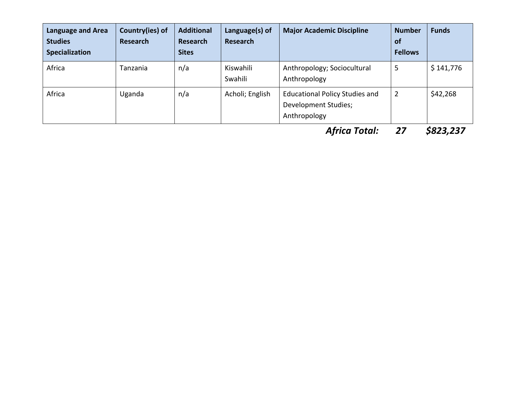| Language and Area<br><b>Studies</b><br>Specialization | Country(ies) of<br><b>Research</b> | <b>Additional</b><br><b>Research</b><br><b>Sites</b> | Language(s) of<br><b>Research</b> | <b>Major Academic Discipline</b>                                              | <b>Number</b><br>of<br><b>Fellows</b> | <b>Funds</b>                    |
|-------------------------------------------------------|------------------------------------|------------------------------------------------------|-----------------------------------|-------------------------------------------------------------------------------|---------------------------------------|---------------------------------|
| Africa                                                | Tanzania                           | n/a                                                  | Kiswahili<br>Swahili              | Anthropology; Sociocultural<br>Anthropology                                   | 5                                     | \$141,776                       |
| Africa                                                | Uganda                             | n/a                                                  | Acholi; English                   | <b>Educational Policy Studies and</b><br>Development Studies;<br>Anthropology | $\overline{2}$                        | \$42,268                        |
|                                                       |                                    |                                                      |                                   | $\blacksquare$<br>- - -                                                       | $\sim$ $\sim$                         | $\lambda$ aaa aa $\blacksquare$ |

*Africa Total: 27 \$823,237*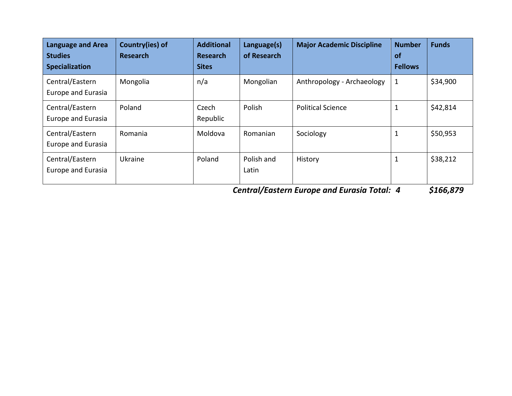| <b>Language and Area</b><br><b>Studies</b><br><b>Specialization</b> | Country(ies) of<br><b>Research</b> | <b>Additional</b><br><b>Research</b><br><b>Sites</b> | Language(s)<br>of Research | <b>Major Academic Discipline</b> | <b>Number</b><br><b>of</b><br><b>Fellows</b> | <b>Funds</b> |
|---------------------------------------------------------------------|------------------------------------|------------------------------------------------------|----------------------------|----------------------------------|----------------------------------------------|--------------|
| Central/Eastern<br>Europe and Eurasia                               | Mongolia                           | n/a                                                  | Mongolian                  | Anthropology - Archaeology       | $\mathbf{1}$                                 | \$34,900     |
| Central/Eastern<br>Europe and Eurasia                               | Poland                             | Czech<br>Republic                                    | Polish                     | <b>Political Science</b>         | $\mathbf{1}$                                 | \$42,814     |
| Central/Eastern<br>Europe and Eurasia                               | Romania                            | Moldova                                              | Romanian                   | Sociology                        | $\mathbf{1}$                                 | \$50,953     |
| Central/Eastern<br>Europe and Eurasia                               | Ukraine                            | Poland                                               | Polish and<br>Latin        | History                          | 1                                            | \$38,212     |

*Central/Eastern Europe and Eurasia Total: 4 \$166,879*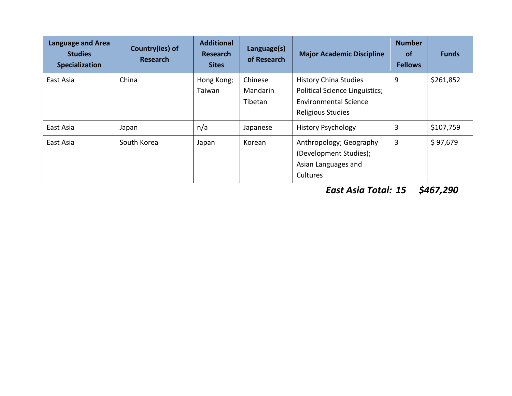| Language and Area<br><b>Studies</b><br>Specialization | Country(ies) of<br><b>Research</b> | <b>Additional</b><br><b>Research</b><br><b>Sites</b> | Language(s)<br>of Research            | <b>Major Academic Discipline</b>                                                                                           | <b>Number</b><br><b>of</b><br><b>Fellows</b> | <b>Funds</b> |
|-------------------------------------------------------|------------------------------------|------------------------------------------------------|---------------------------------------|----------------------------------------------------------------------------------------------------------------------------|----------------------------------------------|--------------|
| East Asia                                             | China                              | Hong Kong;<br>Taiwan                                 | Chinese<br><b>Mandarin</b><br>Tibetan | <b>History China Studies</b><br><b>Political Science Linguistics;</b><br><b>Environmental Science</b><br>Religious Studies | 9                                            | \$261,852    |
| East Asia                                             | Japan                              | n/a                                                  | Japanese                              | <b>History Psychology</b>                                                                                                  | 3                                            | \$107,759    |
| East Asia                                             | South Korea                        | Japan                                                | Korean                                | Anthropology; Geography<br>(Development Studies);<br>Asian Languages and<br>Cultures                                       | 3                                            | \$97,679     |

*East Asia Total: 15 \$467,290*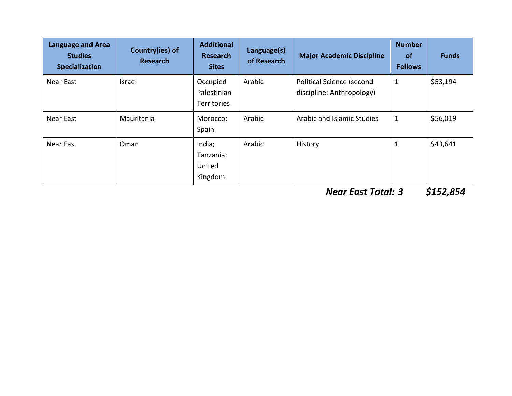| Language and Area<br><b>Studies</b><br>Specialization | Country(ies) of<br><b>Research</b> | <b>Additional</b><br><b>Research</b><br><b>Sites</b> | Language(s)<br>of Research | <b>Major Academic Discipline</b>                       | <b>Number</b><br><b>of</b><br><b>Fellows</b> | <b>Funds</b> |
|-------------------------------------------------------|------------------------------------|------------------------------------------------------|----------------------------|--------------------------------------------------------|----------------------------------------------|--------------|
| Near East                                             | Israel                             | Occupied<br>Palestinian<br><b>Territories</b>        | Arabic                     | Political Science (second<br>discipline: Anthropology) | $\mathbf{1}$                                 | \$53,194     |
| Near East                                             | Mauritania                         | Morocco;<br>Spain                                    | Arabic                     | Arabic and Islamic Studies                             | $\mathbf{1}$                                 | \$56,019     |
| Near East                                             | Oman                               | India;<br>Tanzania;<br>United<br>Kingdom             | Arabic                     | History                                                | $\mathbf 1$                                  | \$43,641     |

*Near East Total: 3 \$152,854*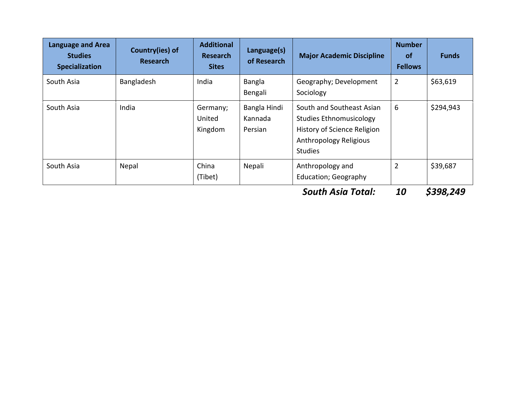| Language and Area<br><b>Studies</b><br><b>Specialization</b> | Country(ies) of<br><b>Research</b> | <b>Additional</b><br><b>Research</b><br><b>Sites</b> | Language(s)<br>of Research         | <b>Major Academic Discipline</b>                                                                                                       | <b>Number</b><br><b>of</b><br><b>Fellows</b> | <b>Funds</b> |
|--------------------------------------------------------------|------------------------------------|------------------------------------------------------|------------------------------------|----------------------------------------------------------------------------------------------------------------------------------------|----------------------------------------------|--------------|
| South Asia                                                   | Bangladesh                         | India                                                | Bangla<br>Bengali                  | Geography; Development<br>Sociology                                                                                                    | $\overline{2}$                               | \$63,619     |
| South Asia                                                   | India                              | Germany;<br>United<br>Kingdom                        | Bangla Hindi<br>Kannada<br>Persian | South and Southeast Asian<br><b>Studies Ethnomusicology</b><br>History of Science Religion<br>Anthropology Religious<br><b>Studies</b> | 6                                            | \$294,943    |
| South Asia                                                   | Nepal                              | China<br>(Tibet)                                     | Nepali                             | Anthropology and<br><b>Education; Geography</b>                                                                                        | $\overline{2}$                               | \$39,687     |

*South Asia Total: 10 \$398,249*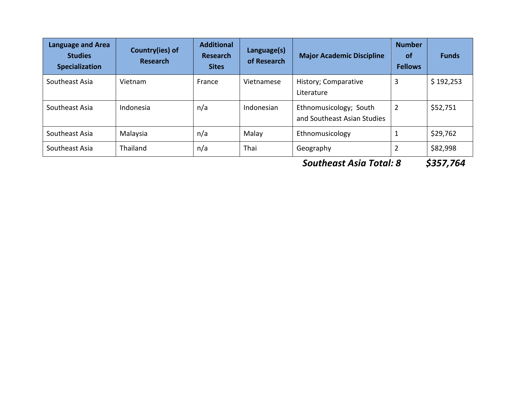| <b>Language and Area</b><br><b>Studies</b><br><b>Specialization</b> | Country(ies) of<br><b>Research</b> | <b>Additional</b><br><b>Research</b><br><b>Sites</b> | Language(s)<br>of Research | <b>Major Academic Discipline</b>                      | <b>Number</b><br><b>of</b><br><b>Fellows</b> | <b>Funds</b> |
|---------------------------------------------------------------------|------------------------------------|------------------------------------------------------|----------------------------|-------------------------------------------------------|----------------------------------------------|--------------|
| Southeast Asia                                                      | Vietnam                            | France                                               | Vietnamese                 | History; Comparative<br>Literature                    | 3                                            | \$192,253    |
| Southeast Asia                                                      | Indonesia                          | n/a                                                  | Indonesian                 | Ethnomusicology; South<br>and Southeast Asian Studies | $\overline{2}$                               | \$52,751     |
| Southeast Asia                                                      | Malaysia                           | n/a                                                  | Malay                      | Ethnomusicology                                       | 1                                            | \$29,762     |
| Southeast Asia                                                      | <b>Thailand</b>                    | n/a                                                  | Thai                       | Geography                                             | 2                                            | \$82,998     |

*Southeast Asia Total: 8 \$357,764*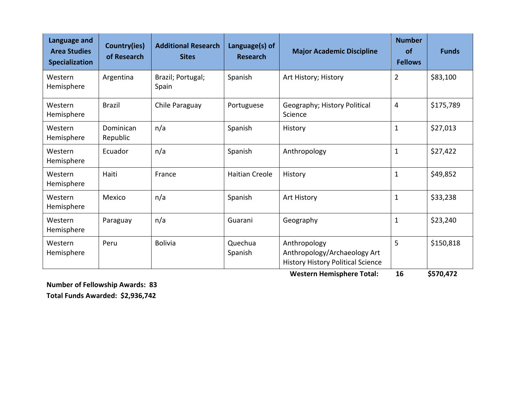| Language and<br><b>Area Studies</b><br><b>Specialization</b> | Country(ies)<br>of Research | <b>Additional Research</b><br><b>Sites</b> | Language(s) of<br><b>Research</b>                     | <b>Major Academic Discipline</b>                                                         | <b>Number</b><br>of<br><b>Fellows</b> | <b>Funds</b> |
|--------------------------------------------------------------|-----------------------------|--------------------------------------------|-------------------------------------------------------|------------------------------------------------------------------------------------------|---------------------------------------|--------------|
| Western<br>Hemisphere                                        | Argentina                   | Brazil; Portugal;<br>Spain                 | Spanish                                               | Art History; History                                                                     | $\overline{2}$                        | \$83,100     |
| Western<br>Hemisphere                                        | <b>Brazil</b>               | Chile Paraguay                             | Geography; History Political<br>Portuguese<br>Science |                                                                                          | $\overline{4}$                        | \$175,789    |
| Western<br>Hemisphere                                        | Dominican<br>Republic       | n/a                                        | Spanish                                               | History                                                                                  | $\mathbf{1}$                          | \$27,013     |
| Western<br>Hemisphere                                        | Ecuador                     | n/a                                        | Spanish                                               | Anthropology                                                                             | $\mathbf{1}$                          | \$27,422     |
| Western<br>Hemisphere                                        | Haiti                       | France                                     | <b>Haitian Creole</b>                                 | History                                                                                  | $\mathbf{1}$                          | \$49,852     |
| Western<br>Hemisphere                                        | Mexico                      | n/a                                        | Spanish                                               | Art History                                                                              | $\mathbf{1}$                          | \$33,238     |
| Western<br>Hemisphere                                        | Paraguay                    | n/a                                        | Guarani                                               | Geography                                                                                | $\mathbf{1}$                          | \$23,240     |
| Western<br>Hemisphere                                        | Peru                        | <b>Bolivia</b>                             | Quechua<br>Spanish                                    | Anthropology<br>Anthropology/Archaeology Art<br><b>History History Political Science</b> |                                       | \$150,818    |

 **Western Hemisphere Total: 16 \$570,472**

**Number of Fellowship Awards: 83 Total Funds Awarded: \$2,936,742**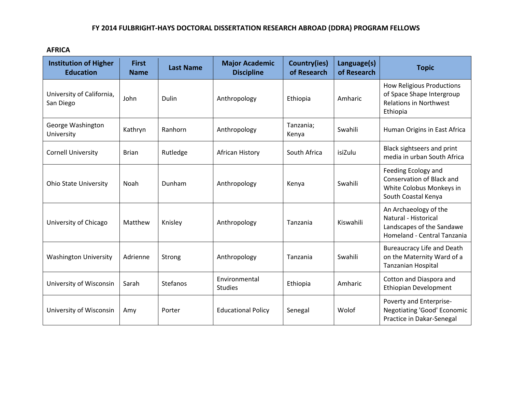#### **FY 2014 FULBRIGHT-HAYS DOCTORAL DISSERTATION RESEARCH ABROAD (DDRA) PROGRAM FELLOWS**

**AFRICA**

| <b>Institution of Higher</b><br><b>Education</b> | <b>First</b><br><b>Name</b> | <b>Last Name</b> | <b>Major Academic</b><br><b>Discipline</b> | Country(ies)<br>of Research | Language(s)<br>of Research | <b>Topic</b>                                                                                               |
|--------------------------------------------------|-----------------------------|------------------|--------------------------------------------|-----------------------------|----------------------------|------------------------------------------------------------------------------------------------------------|
| University of California,<br>San Diego           | John                        | Dulin            | Anthropology                               | Ethiopia                    | Amharic                    | <b>How Religious Productions</b><br>of Space Shape Intergroup<br><b>Relations in Northwest</b><br>Ethiopia |
| George Washington<br>University                  | Kathryn                     | Ranhorn          | Tanzania;<br>Anthropology<br>Kenya         |                             | Swahili                    | Human Origins in East Africa                                                                               |
| <b>Cornell University</b>                        | <b>Brian</b>                | Rutledge         | African History                            | South Africa                | isiZulu                    | Black sightseers and print<br>media in urban South Africa                                                  |
| <b>Ohio State University</b>                     | Noah                        | Dunham           | Anthropology                               | Kenya                       | Swahili                    | Feeding Ecology and<br>Conservation of Black and<br>White Colobus Monkeys in<br>South Coastal Kenya        |
| University of Chicago                            | Matthew                     | Knisley          | Anthropology                               | Tanzania                    | Kiswahili                  | An Archaeology of the<br>Natural - Historical<br>Landscapes of the Sandawe<br>Homeland - Central Tanzania  |
| <b>Washington University</b>                     | Adrienne                    | Strong           | Anthropology                               | Tanzania                    | Swahili                    | <b>Bureaucracy Life and Death</b><br>on the Maternity Ward of a<br>Tanzanian Hospital                      |
| University of Wisconsin                          | Sarah                       | <b>Stefanos</b>  | Environmental<br><b>Studies</b>            | Ethiopia                    | Amharic                    | Cotton and Diaspora and<br>Ethiopian Development                                                           |
| University of Wisconsin                          | Amy                         | Porter           | <b>Educational Policy</b>                  | Senegal                     | Wolof                      | Poverty and Enterprise-<br>Negotiating 'Good' Economic<br>Practice in Dakar-Senegal                        |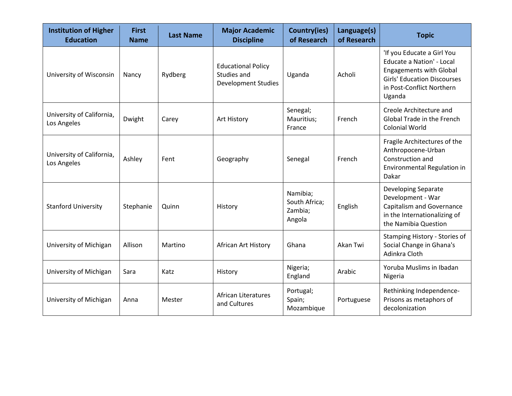| <b>Institution of Higher</b><br><b>Education</b> | <b>First</b><br><b>Name</b> | <b>Last Name</b> | <b>Major Academic</b><br><b>Discipline</b>                             | Country(ies)<br>of Research                    | Language(s)<br>of Research | <b>Topic</b>                                                                                                                                                           |
|--------------------------------------------------|-----------------------------|------------------|------------------------------------------------------------------------|------------------------------------------------|----------------------------|------------------------------------------------------------------------------------------------------------------------------------------------------------------------|
| University of Wisconsin                          | Nancy                       | Rydberg          | <b>Educational Policy</b><br>Studies and<br><b>Development Studies</b> | Uganda                                         | Acholi                     | 'If you Educate a Girl You<br>Educate a Nation' - Local<br><b>Engagements with Global</b><br><b>Girls' Education Discourses</b><br>in Post-Conflict Northern<br>Uganda |
| University of California,<br>Los Angeles         | Dwight                      | Carey            | Senegal;<br>Mauritius;<br>Art History<br>France                        |                                                | French                     | Creole Architecture and<br>Global Trade in the French<br><b>Colonial World</b>                                                                                         |
| University of California,<br>Los Angeles         | Ashley                      | Fent             | Geography                                                              | Senegal                                        | French                     | Fragile Architectures of the<br>Anthropocene-Urban<br>Construction and<br>Environmental Regulation in<br>Dakar                                                         |
| <b>Stanford University</b>                       | Stephanie                   | Quinn            | History                                                                | Namibia;<br>South Africa;<br>Zambia;<br>Angola | English                    | Developing Separate<br>Development - War<br><b>Capitalism and Governance</b><br>in the Internationalizing of<br>the Namibia Question                                   |
| University of Michigan                           | Allison                     | Martino          | African Art History                                                    | Ghana                                          | Akan Twi                   | Stamping History - Stories of<br>Social Change in Ghana's<br>Adinkra Cloth                                                                                             |
| University of Michigan                           | Sara                        | Katz             | History                                                                | Nigeria;<br>England                            | Arabic                     | Yoruba Muslims in Ibadan<br>Nigeria                                                                                                                                    |
| University of Michigan                           | Anna                        | Mester           | <b>African Literatures</b><br>and Cultures                             | Portugal;<br>Spain;<br>Mozambique              | Portuguese                 | Rethinking Independence-<br>Prisons as metaphors of<br>decolonization                                                                                                  |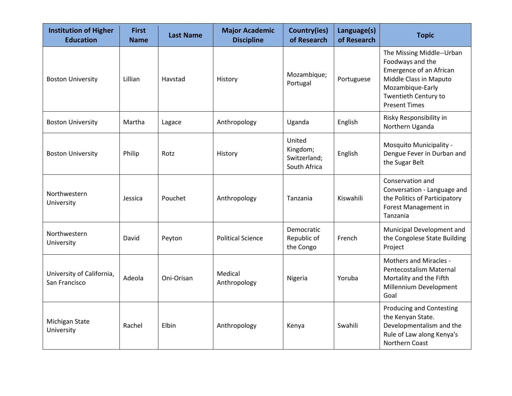| <b>Institution of Higher</b><br><b>Education</b> | <b>First</b><br><b>Name</b> | <b>Last Name</b> | <b>Major Academic</b><br><b>Discipline</b> | <b>Country(ies)</b><br>of Research                 | Language(s)<br>of Research | <b>Topic</b>                                                                                                                                                           |
|--------------------------------------------------|-----------------------------|------------------|--------------------------------------------|----------------------------------------------------|----------------------------|------------------------------------------------------------------------------------------------------------------------------------------------------------------------|
| <b>Boston University</b>                         | Lillian                     | Havstad          | History                                    | Mozambique;<br>Portugal                            | Portuguese                 | The Missing Middle--Urban<br>Foodways and the<br>Emergence of an African<br>Middle Class in Maputo<br>Mozambique-Early<br>Twentieth Century to<br><b>Present Times</b> |
| <b>Boston University</b>                         | Martha                      | Lagace           | Anthropology                               | Uganda                                             | English                    | Risky Responsibility in<br>Northern Uganda                                                                                                                             |
| <b>Boston University</b>                         | Philip                      | Rotz             | History                                    | United<br>Kingdom;<br>Switzerland;<br>South Africa | English                    | Mosquito Municipality -<br>Dengue Fever in Durban and<br>the Sugar Belt                                                                                                |
| Northwestern<br>University                       | Jessica                     | Pouchet          | Anthropology                               | Tanzania                                           | Kiswahili                  | Conservation and<br>Conversation - Language and<br>the Politics of Participatory<br>Forest Management in<br>Tanzania                                                   |
| Northwestern<br>University                       | David                       | Peyton           | <b>Political Science</b>                   | Democratic<br>Republic of<br>the Congo             | French                     | Municipal Development and<br>the Congolese State Building<br>Project                                                                                                   |
| University of California,<br>San Francisco       | Adeola                      | Oni-Orisan       | Medical<br>Anthropology                    | Nigeria                                            | Yoruba                     | <b>Mothers and Miracles -</b><br>Pentecostalism Maternal<br>Mortality and the Fifth<br>Millennium Development<br>Goal                                                  |
| Michigan State<br>University                     | Rachel                      | Elbin            | Anthropology                               | Kenya                                              | Swahili                    | <b>Producing and Contesting</b><br>the Kenyan State.<br>Developmentalism and the<br>Rule of Law along Kenya's<br>Northern Coast                                        |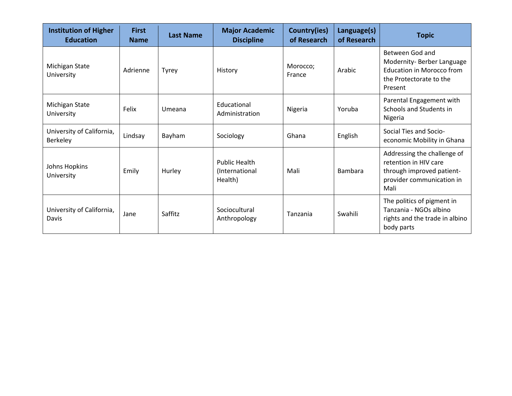| <b>Institution of Higher</b><br><b>Education</b> | <b>First</b><br><b>Name</b> | <b>Last Name</b> | <b>Major Academic</b><br><b>Discipline</b>        | Country(ies)<br>of Research | Language(s)<br>of Research | <b>Topic</b>                                                                                                           |
|--------------------------------------------------|-----------------------------|------------------|---------------------------------------------------|-----------------------------|----------------------------|------------------------------------------------------------------------------------------------------------------------|
| Michigan State<br>University                     | Adrienne                    | <b>Tyrey</b>     | History                                           | Morocco;<br>France          | Arabic                     | Between God and<br>Modernity-Berber Language<br><b>Education in Morocco from</b><br>the Protectorate to the<br>Present |
| Michigan State<br>University                     | Felix                       | Umeana           | Educational<br>Administration                     | Nigeria                     | Yoruba                     | Parental Engagement with<br>Schools and Students in<br>Nigeria                                                         |
| University of California,<br>Berkeley            | Lindsay                     | Bayham           | Sociology                                         | Ghana                       | English                    | Social Ties and Socio-<br>economic Mobility in Ghana                                                                   |
| Johns Hopkins<br>University                      | Emily                       | Hurley           | <b>Public Health</b><br>(International<br>Health) | Mali                        | <b>Bambara</b>             | Addressing the challenge of<br>retention in HIV care<br>through improved patient-<br>provider communication in<br>Mali |
| University of California,<br>Davis               | Jane                        | Saffitz          | Sociocultural<br>Anthropology                     | Tanzania                    | Swahili                    | The politics of pigment in<br>Tanzania - NGOs albino<br>rights and the trade in albino<br>body parts                   |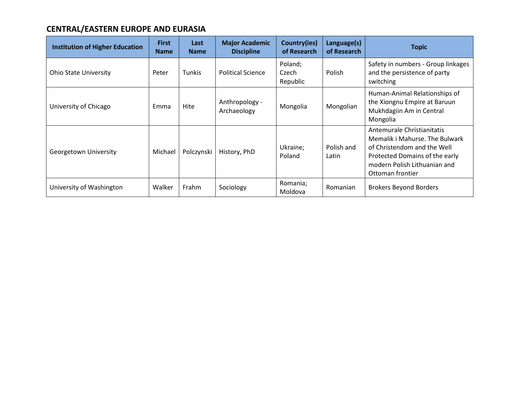# **CENTRAL/EASTERN EUROPE AND EURASIA**

| <b>Institution of Higher Education</b> | <b>First</b><br><b>Name</b> | Last<br><b>Name</b> | <b>Major Academic</b><br><b>Discipline</b> | Country(ies)<br>of Research  | Language(s)<br>of Research | <b>Topic</b>                                                                                                                                                                      |
|----------------------------------------|-----------------------------|---------------------|--------------------------------------------|------------------------------|----------------------------|-----------------------------------------------------------------------------------------------------------------------------------------------------------------------------------|
| <b>Ohio State University</b>           | Peter                       | Tunkis              | <b>Political Science</b>                   | Poland;<br>Czech<br>Republic | Polish                     | Safety in numbers - Group linkages<br>and the persistence of party<br>switching                                                                                                   |
| University of Chicago                  | Emma                        | Hite                | Anthropology -<br>Archaeology              | Mongolia                     | Mongolian                  | Human-Animal Relationships of<br>the Xiongnu Empire at Baruun<br>Mukhdagiin Am in Central<br>Mongolia                                                                             |
| Georgetown University                  | Michael                     | Polczynski          | History, PhD                               | Ukraine;<br>Poland           | Polish and<br>Latin        | Antemurale Christianitatis<br>Memalik i Mahurse. The Bulwark<br>of Christendom and the Well<br>Protected Domains of the early<br>modern Polish Lithuanian and<br>Ottoman frontier |
| University of Washington               | Walker                      | Frahm               | Sociology                                  | Romania;<br>Moldova          | Romanian                   | <b>Brokers Beyond Borders</b>                                                                                                                                                     |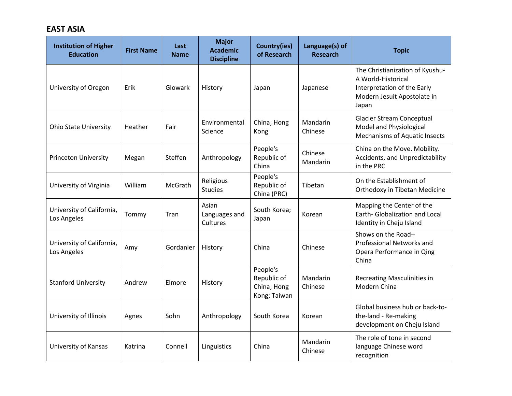### **EAST ASIA**

| <b>Institution of Higher</b><br><b>Education</b> | <b>First Name</b> | Last<br><b>Name</b> | <b>Major</b><br><b>Academic</b><br><b>Discipline</b> | <b>Country(ies)</b><br>of Research                     | Language(s) of<br><b>Research</b> | <b>Topic</b>                                                                                                                 |
|--------------------------------------------------|-------------------|---------------------|------------------------------------------------------|--------------------------------------------------------|-----------------------------------|------------------------------------------------------------------------------------------------------------------------------|
| University of Oregon                             | Erik              | Glowark             | History                                              | Japan                                                  | Japanese                          | The Christianization of Kyushu-<br>A World-Historical<br>Interpretation of the Early<br>Modern Jesuit Apostolate in<br>Japan |
| <b>Ohio State University</b>                     | Heather           | Fair                | Environmental<br>Science                             | China; Hong<br>Kong                                    | Mandarin<br>Chinese               | <b>Glacier Stream Conceptual</b><br>Model and Physiological<br><b>Mechanisms of Aquatic Insects</b>                          |
| <b>Princeton University</b>                      | Megan             | Steffen             | Anthropology                                         | People's<br>Republic of<br>China                       | Chinese<br>Mandarin               | China on the Move. Mobility.<br>Accidents. and Unpredictability<br>in the PRC                                                |
| University of Virginia                           | William           | McGrath             | Religious<br><b>Studies</b>                          | People's<br>Republic of<br>China (PRC)                 | Tibetan                           | On the Establishment of<br>Orthodoxy in Tibetan Medicine                                                                     |
| University of California,<br>Los Angeles         | Tommy             | Tran                | Asian<br>Languages and<br>Cultures                   | South Korea;<br>Japan                                  | Korean                            | Mapping the Center of the<br>Earth- Globalization and Local<br>Identity in Cheju Island                                      |
| University of California,<br>Los Angeles         | Amy               | Gordanier           | History                                              | China                                                  | Chinese                           | Shows on the Road--<br>Professional Networks and<br>Opera Performance in Qing<br>China                                       |
| <b>Stanford University</b>                       | Andrew            | Elmore              | History                                              | People's<br>Republic of<br>China; Hong<br>Kong; Taiwan | Mandarin<br>Chinese               | <b>Recreating Masculinities in</b><br>Modern China                                                                           |
| University of Illinois                           | Agnes             | Sohn                | Anthropology                                         | South Korea                                            | Korean                            | Global business hub or back-to-<br>the-land - Re-making<br>development on Cheju Island                                       |
| University of Kansas                             | Katrina           | Connell             | Linguistics                                          | China                                                  | Mandarin<br>Chinese               | The role of tone in second<br>language Chinese word<br>recognition                                                           |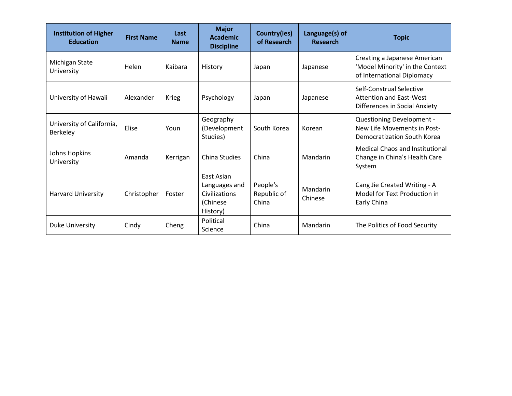| <b>Institution of Higher</b><br><b>Education</b> | <b>First Name</b> | Last<br><b>Name</b> | <b>Major</b><br>Academic<br><b>Discipline</b>                        | Country(ies)<br>of Research      | Language(s) of<br><b>Research</b> | <b>Topic</b>                                                                                       |
|--------------------------------------------------|-------------------|---------------------|----------------------------------------------------------------------|----------------------------------|-----------------------------------|----------------------------------------------------------------------------------------------------|
| Michigan State<br>University                     | Helen             | Kaibara             | History                                                              | Japan                            | Japanese                          | Creating a Japanese American<br>'Model Minority' in the Context<br>of International Diplomacy      |
| University of Hawaii                             | Alexander         | <b>Krieg</b>        | Psychology                                                           | Japan                            | Japanese                          | Self-Construal Selective<br><b>Attention and East-West</b><br><b>Differences in Social Anxiety</b> |
| University of California,<br>Berkeley            | Elise             | Youn                | Geography<br>(Development<br>Studies)                                | South Korea                      | Korean                            | <b>Questioning Development -</b><br>New Life Movements in Post-<br>Democratization South Korea     |
| Johns Hopkins<br>University                      | Amanda            | Kerrigan            | <b>China Studies</b>                                                 | China                            | Mandarin                          | <b>Medical Chaos and Institutional</b><br>Change in China's Health Care<br>System                  |
| Harvard University                               | Christopher       | Foster              | East Asian<br>Languages and<br>Civilizations<br>(Chinese<br>History) | People's<br>Republic of<br>China | Mandarin<br>Chinese               | Cang Jie Created Writing - A<br>Model for Text Production in<br>Early China                        |
| <b>Duke University</b>                           | Cindy             | Cheng               | Political<br>Science                                                 | China                            | Mandarin                          | The Politics of Food Security                                                                      |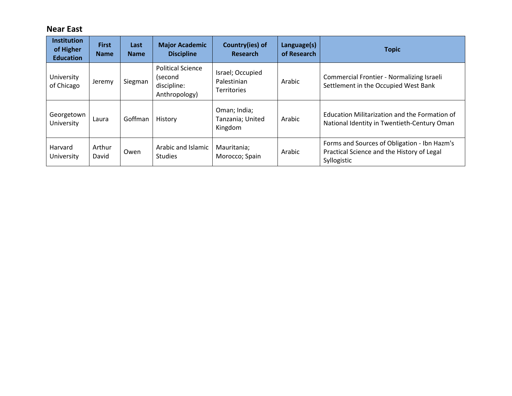## **Near East**

| <b>Institution</b><br>of Higher<br><b>Education</b> | <b>First</b><br><b>Name</b> | Last<br><b>Name</b> | <b>Major Academic</b><br><b>Discipline</b>                          | Country(ies) of<br><b>Research</b>                    | Language(s)<br>of Research | <b>Topic</b>                                                                                              |
|-----------------------------------------------------|-----------------------------|---------------------|---------------------------------------------------------------------|-------------------------------------------------------|----------------------------|-----------------------------------------------------------------------------------------------------------|
| University<br>of Chicago                            | Jeremy                      | Siegman             | <b>Political Science</b><br>(second<br>discipline:<br>Anthropology) | Israel; Occupied<br>Palestinian<br><b>Territories</b> | Arabic                     | Commercial Frontier - Normalizing Israeli<br>Settlement in the Occupied West Bank                         |
| Georgetown<br>University                            | Laura                       | Goffman             | History                                                             | Oman; India;<br>Tanzania; United<br>Kingdom           | Arabic                     | Education Militarization and the Formation of<br>National Identity in Twentieth-Century Oman              |
| Harvard<br>University                               | Arthur<br>David             | Owen                | Arabic and Islamic<br><b>Studies</b>                                | Mauritania;<br>Morocco; Spain                         | Arabic                     | Forms and Sources of Obligation - Ibn Hazm's<br>Practical Science and the History of Legal<br>Syllogistic |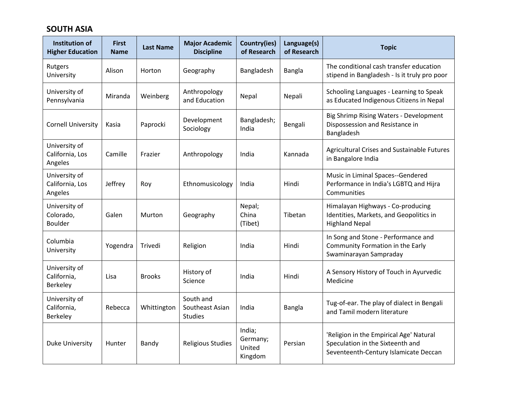### **SOUTH ASIA**

| <b>Institution of</b><br><b>Higher Education</b> | <b>First</b><br><b>Name</b> | <b>Last Name</b> | <b>Major Academic</b><br><b>Discipline</b>     | <b>Country(ies)</b><br>of Research      | Language(s)<br>of Research | <b>Topic</b>                                                                                                         |
|--------------------------------------------------|-----------------------------|------------------|------------------------------------------------|-----------------------------------------|----------------------------|----------------------------------------------------------------------------------------------------------------------|
| Rutgers<br>University                            | Alison                      | Horton           | Geography                                      | Bangladesh                              | Bangla                     | The conditional cash transfer education<br>stipend in Bangladesh - Is it truly pro poor                              |
| University of<br>Pennsylvania                    | Miranda                     | Weinberg         | Anthropology<br>and Education                  | Nepal                                   | Nepali                     | Schooling Languages - Learning to Speak<br>as Educated Indigenous Citizens in Nepal                                  |
| <b>Cornell University</b>                        | Kasia                       | Paprocki         | Development<br>Sociology                       | Bangladesh;<br>India                    | Bengali                    | Big Shrimp Rising Waters - Development<br>Dispossession and Resistance in<br>Bangladesh                              |
| University of<br>California, Los<br>Angeles      | Camille                     | Frazier          | Anthropology                                   | India                                   | Kannada                    | Agricultural Crises and Sustainable Futures<br>in Bangalore India                                                    |
| University of<br>California, Los<br>Angeles      | Jeffrey                     | Roy              | Ethnomusicology                                | India                                   | Hindi                      | Music in Liminal Spaces--Gendered<br>Performance in India's LGBTQ and Hijra<br>Communities                           |
| University of<br>Colorado,<br><b>Boulder</b>     | Galen                       | <b>Murton</b>    | Geography                                      | Nepal;<br>China<br>(Tibet)              | Tibetan                    | Himalayan Highways - Co-producing<br>Identities, Markets, and Geopolitics in<br><b>Highland Nepal</b>                |
| Columbia<br>University                           | Yogendra                    | Trivedi          | Religion                                       | India                                   | Hindi                      | In Song and Stone - Performance and<br>Community Formation in the Early<br>Swaminarayan Sampraday                    |
| University of<br>California,<br><b>Berkeley</b>  | Lisa                        | <b>Brooks</b>    | History of<br>Science                          | India                                   | Hindi                      | A Sensory History of Touch in Ayurvedic<br>Medicine                                                                  |
| University of<br>California,<br>Berkeley         | Rebecca                     | Whittington      | South and<br>Southeast Asian<br><b>Studies</b> | India                                   | Bangla                     | Tug-of-ear. The play of dialect in Bengali<br>and Tamil modern literature                                            |
| <b>Duke University</b>                           | Hunter                      | Bandy            | <b>Religious Studies</b>                       | India;<br>Germany;<br>United<br>Kingdom | Persian                    | 'Religion in the Empirical Age' Natural<br>Speculation in the Sixteenth and<br>Seventeenth-Century Islamicate Deccan |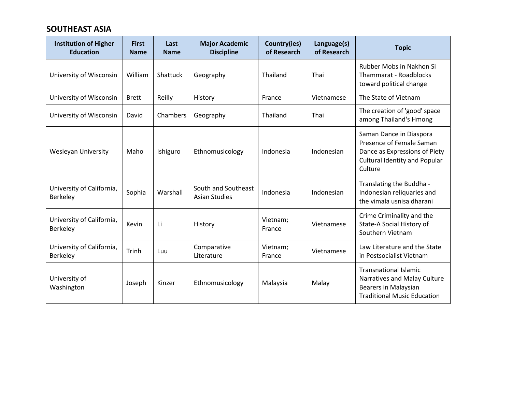### **SOUTHEAST ASIA**

| <b>Institution of Higher</b><br><b>Education</b> | <b>First</b><br><b>Name</b> | Last<br><b>Name</b> | <b>Major Academic</b><br><b>Discipline</b>  | Country(ies)<br>of Research | Language(s)<br>of Research | <b>Topic</b>                                                                                                                            |
|--------------------------------------------------|-----------------------------|---------------------|---------------------------------------------|-----------------------------|----------------------------|-----------------------------------------------------------------------------------------------------------------------------------------|
| University of Wisconsin                          | William                     | <b>Shattuck</b>     | Geography                                   | Thailand                    | Thai                       | Rubber Mobs in Nakhon Si<br>Thammarat - Roadblocks<br>toward political change                                                           |
| University of Wisconsin                          | <b>Brett</b>                | Reilly              | History                                     | France                      | Vietnamese                 | The State of Vietnam                                                                                                                    |
| University of Wisconsin                          | David                       | Chambers            | Geography                                   | Thailand                    | Thai                       | The creation of 'good' space<br>among Thailand's Hmong                                                                                  |
| <b>Wesleyan University</b>                       | Maho                        | Ishiguro            | Ethnomusicology                             | Indonesia                   | Indonesian                 | Saman Dance in Diaspora<br>Presence of Female Saman<br>Dance as Expressions of Piety<br><b>Cultural Identity and Popular</b><br>Culture |
| University of California,<br>Berkeley            | Sophia                      | Warshall            | South and Southeast<br><b>Asian Studies</b> | Indonesia                   | Indonesian                 | Translating the Buddha -<br>Indonesian reliquaries and<br>the vimala usnisa dharani                                                     |
| University of California,<br>Berkeley            | Kevin                       | Li                  | History                                     | Vietnam;<br>France          | Vietnamese                 | Crime Criminality and the<br>State-A Social History of<br>Southern Vietnam                                                              |
| University of California,<br>Berkeley            | Trinh                       | Luu                 | Comparative<br>Literature                   | Vietnam;<br>France          | Vietnamese                 | Law Literature and the State<br>in Postsocialist Vietnam                                                                                |
| University of<br>Washington                      | Joseph                      | Kinzer              | Ethnomusicology                             | Malaysia                    | Malay                      | <b>Transnational Islamic</b><br>Narratives and Malay Culture<br><b>Bearers in Malaysian</b><br><b>Traditional Music Education</b>       |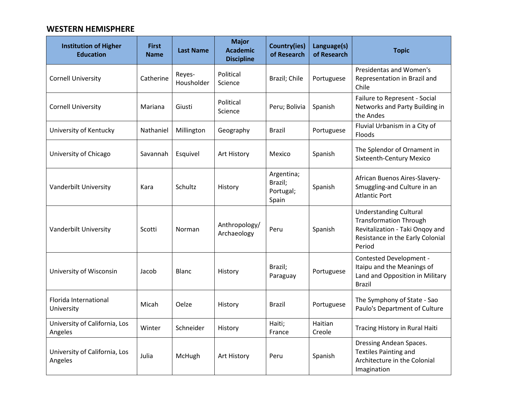#### **WESTERN HEMISPHERE**

| <b>Institution of Higher</b><br><b>Education</b> | <b>First</b><br><b>Name</b> | <b>Last Name</b>     | <b>Major</b><br><b>Academic</b><br><b>Discipline</b> | <b>Country(ies)</b><br>of Research          | Language(s)<br>of Research | <b>Topic</b>                                                                                                                                    |
|--------------------------------------------------|-----------------------------|----------------------|------------------------------------------------------|---------------------------------------------|----------------------------|-------------------------------------------------------------------------------------------------------------------------------------------------|
| <b>Cornell University</b>                        | Catherine                   | Reyes-<br>Housholder | Political<br>Science                                 | Brazil; Chile                               | Portuguese                 | Presidentas and Women's<br>Representation in Brazil and<br>Chile                                                                                |
| <b>Cornell University</b>                        | Mariana                     | Giusti               | Political<br>Science                                 | Peru; Bolivia                               | Spanish                    | Failure to Represent - Social<br>Networks and Party Building in<br>the Andes                                                                    |
| University of Kentucky                           | Nathaniel                   | Millington           | Geography                                            | <b>Brazil</b>                               | Portuguese                 | Fluvial Urbanism in a City of<br>Floods                                                                                                         |
| University of Chicago                            | Savannah                    | Esquivel             | Art History                                          | Mexico                                      | Spanish                    | The Splendor of Ornament in<br><b>Sixteenth-Century Mexico</b>                                                                                  |
| Vanderbilt University                            | Kara                        | Schultz              | History                                              | Argentina;<br>Brazil;<br>Portugal;<br>Spain | Spanish                    | African Buenos Aires-Slavery-<br>Smuggling-and Culture in an<br><b>Atlantic Port</b>                                                            |
| Vanderbilt University                            | Scotti                      | Norman               | Anthropology/<br>Archaeology                         | Peru                                        | Spanish                    | <b>Understanding Cultural</b><br><b>Transformation Through</b><br>Revitalization - Taki Onqoy and<br>Resistance in the Early Colonial<br>Period |
| University of Wisconsin                          | Jacob                       | <b>Blanc</b>         | History                                              | Brazil;<br>Paraguay                         | Portuguese                 | Contested Development -<br>Itaipu and the Meanings of<br>Land and Opposition in Military<br>Brazil                                              |
| Florida International<br>University              | Micah                       | Oelze                | History                                              | <b>Brazil</b>                               | Portuguese                 | The Symphony of State - Sao<br>Paulo's Department of Culture                                                                                    |
| University of California, Los<br>Angeles         | Winter                      | Schneider            | History                                              | Haiti;<br>France                            | Haitian<br>Creole          | Tracing History in Rural Haiti                                                                                                                  |
| University of California, Los<br>Angeles         | Julia                       | McHugh               | Art History                                          | Peru                                        | Spanish                    | Dressing Andean Spaces.<br><b>Textiles Painting and</b><br>Architecture in the Colonial<br>Imagination                                          |